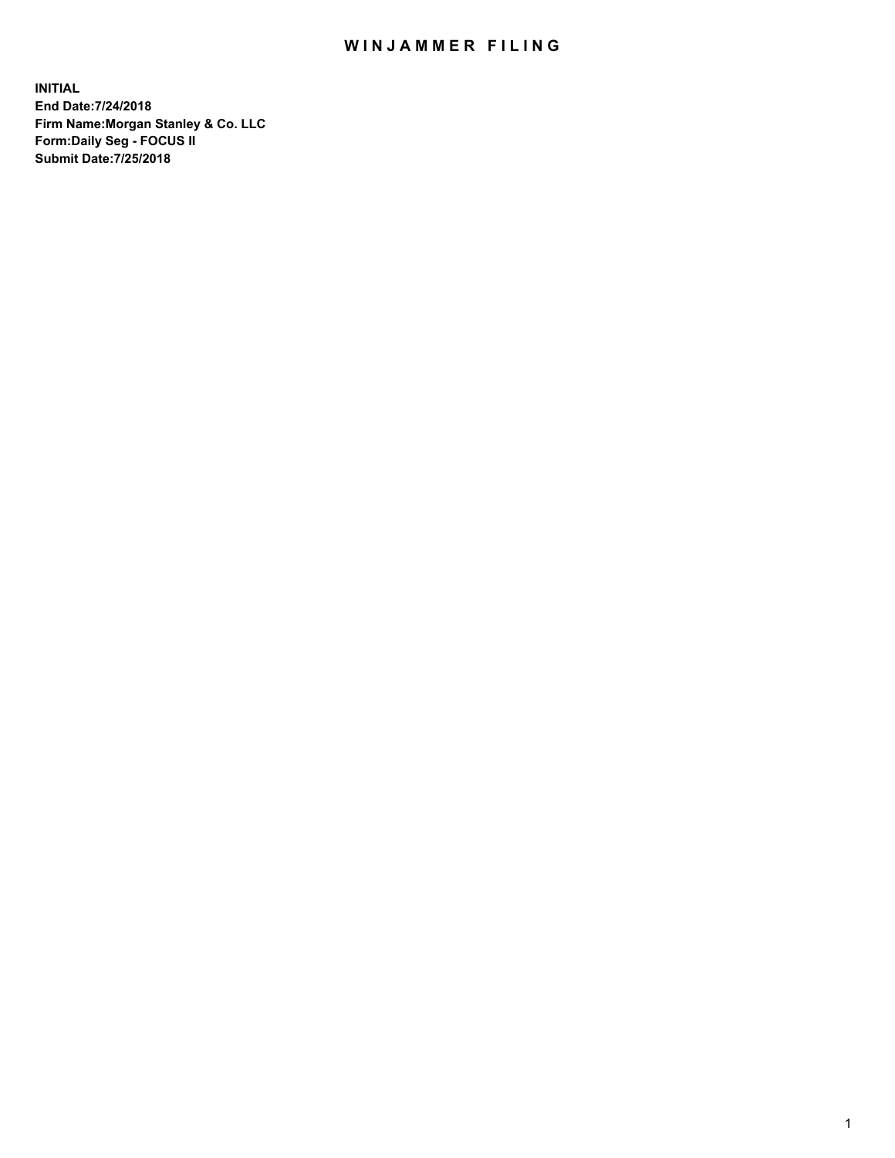## WIN JAMMER FILING

**INITIAL End Date:7/24/2018 Firm Name:Morgan Stanley & Co. LLC Form:Daily Seg - FOCUS II Submit Date:7/25/2018**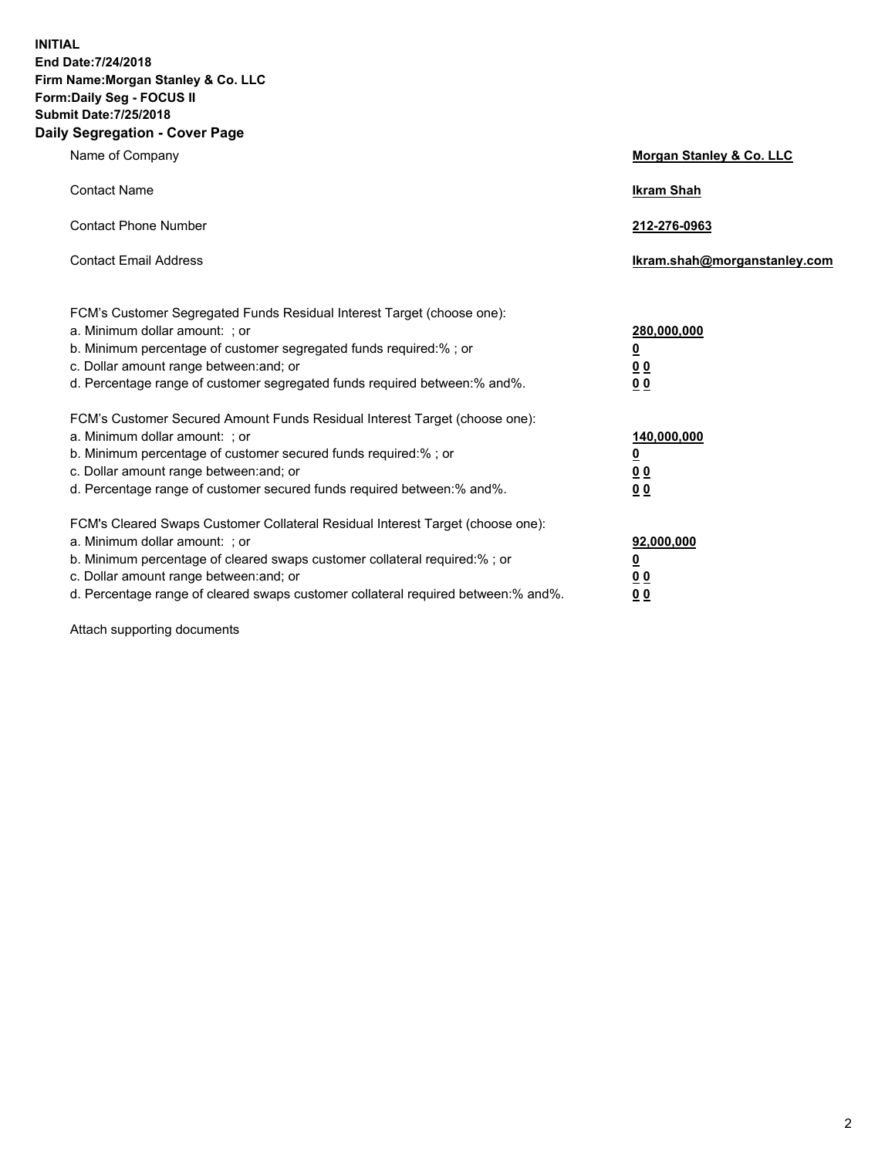**INITIAL End Date:7/24/2018 Firm Name:Morgan Stanley & Co. LLC Form:Daily Seg - FOCUS II Submit Date:7/25/2018 Daily Segregation - Cover Page**

| Name of Company                                                                                                                                                                                                                                                                                                                | Morgan Stanley & Co. LLC                                                     |
|--------------------------------------------------------------------------------------------------------------------------------------------------------------------------------------------------------------------------------------------------------------------------------------------------------------------------------|------------------------------------------------------------------------------|
| <b>Contact Name</b>                                                                                                                                                                                                                                                                                                            | <b>Ikram Shah</b>                                                            |
| <b>Contact Phone Number</b>                                                                                                                                                                                                                                                                                                    | 212-276-0963                                                                 |
| <b>Contact Email Address</b>                                                                                                                                                                                                                                                                                                   | Ikram.shah@morganstanley.com                                                 |
| FCM's Customer Segregated Funds Residual Interest Target (choose one):<br>a. Minimum dollar amount: ; or<br>b. Minimum percentage of customer segregated funds required:%; or<br>c. Dollar amount range between: and; or<br>d. Percentage range of customer segregated funds required between: % and %.                        | 280,000,000<br><u>0</u><br><u>00</u><br>0 Q                                  |
| FCM's Customer Secured Amount Funds Residual Interest Target (choose one):<br>a. Minimum dollar amount: ; or<br>b. Minimum percentage of customer secured funds required:%; or<br>c. Dollar amount range between: and; or<br>d. Percentage range of customer secured funds required between:% and%.                            | 140,000,000<br><u>0</u><br>$\underline{0}$ $\underline{0}$<br>0 <sup>0</sup> |
| FCM's Cleared Swaps Customer Collateral Residual Interest Target (choose one):<br>a. Minimum dollar amount: ; or<br>b. Minimum percentage of cleared swaps customer collateral required:% ; or<br>c. Dollar amount range between: and; or<br>d. Percentage range of cleared swaps customer collateral required between:% and%. | 92,000,000<br><u>0</u><br><u>00</u><br>00                                    |

Attach supporting documents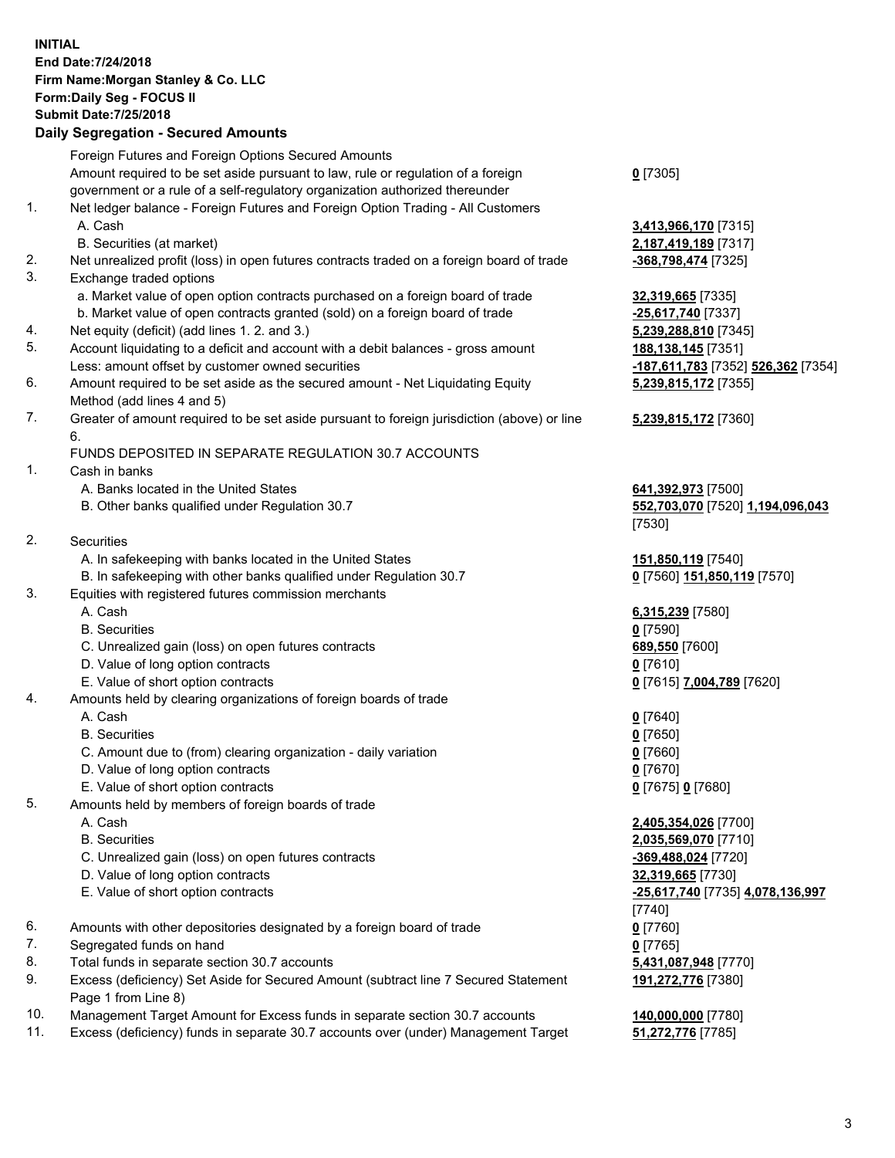## **INITIAL End Date:7/24/2018 Firm Name:Morgan Stanley & Co. LLC Form:Daily Seg - FOCUS II Submit Date:7/25/2018**

## **Daily Segregation - Secured Amounts**

|     | Foreign Futures and Foreign Options Secured Amounts                                                                                                              |                           |
|-----|------------------------------------------------------------------------------------------------------------------------------------------------------------------|---------------------------|
|     | Amount required to be set aside pursuant to law, rule or regulation of a foreign<br>government or a rule of a self-regulatory organization authorized thereunder | $0$ [7305]                |
| 1.  |                                                                                                                                                                  |                           |
|     | Net ledger balance - Foreign Futures and Foreign Option Trading - All Customers                                                                                  |                           |
|     | A. Cash                                                                                                                                                          | 3,413,966,170 [7315]      |
| 2.  | B. Securities (at market)                                                                                                                                        | 2,187,419,189 [7317]      |
| 3.  | Net unrealized profit (loss) in open futures contracts traded on a foreign board of trade                                                                        | -368,798,474 [7325]       |
|     | Exchange traded options<br>a. Market value of open option contracts purchased on a foreign board of trade                                                        | 32,319,665 [7335]         |
|     | b. Market value of open contracts granted (sold) on a foreign board of trade                                                                                     | -25,617,740 [7337]        |
| 4.  | Net equity (deficit) (add lines 1. 2. and 3.)                                                                                                                    | 5,239,288,810 [7345]      |
| 5.  | Account liquidating to a deficit and account with a debit balances - gross amount                                                                                | 188,138,145 [7351]        |
|     | Less: amount offset by customer owned securities                                                                                                                 | -187,611,783 [7352] 526,3 |
| 6.  | Amount required to be set aside as the secured amount - Net Liquidating Equity                                                                                   | 5,239,815,172 [7355]      |
|     | Method (add lines 4 and 5)                                                                                                                                       |                           |
| 7.  | Greater of amount required to be set aside pursuant to foreign jurisdiction (above) or line                                                                      | 5,239,815,172 [7360]      |
|     | 6.                                                                                                                                                               |                           |
|     | FUNDS DEPOSITED IN SEPARATE REGULATION 30.7 ACCOUNTS                                                                                                             |                           |
| 1.  | Cash in banks                                                                                                                                                    |                           |
|     | A. Banks located in the United States                                                                                                                            | 641,392,973 [7500]        |
|     | B. Other banks qualified under Regulation 30.7                                                                                                                   | 552,703,070 [7520] 1,194  |
|     |                                                                                                                                                                  | [7530]                    |
| 2.  | Securities                                                                                                                                                       |                           |
|     | A. In safekeeping with banks located in the United States                                                                                                        | 151,850,119 [7540]        |
|     | B. In safekeeping with other banks qualified under Regulation 30.7                                                                                               | 0 [7560] 151,850,119 [757 |
| 3.  | Equities with registered futures commission merchants                                                                                                            |                           |
|     | A. Cash                                                                                                                                                          | 6,315,239 [7580]          |
|     | <b>B.</b> Securities                                                                                                                                             | $0$ [7590]                |
|     | C. Unrealized gain (loss) on open futures contracts                                                                                                              | 689,550 [7600]            |
|     | D. Value of long option contracts                                                                                                                                | $0$ [7610]                |
|     | E. Value of short option contracts                                                                                                                               | 0 [7615] 7,004,789 [7620] |
| 4.  | Amounts held by clearing organizations of foreign boards of trade                                                                                                |                           |
|     | A. Cash                                                                                                                                                          | $0$ [7640]                |
|     | <b>B.</b> Securities                                                                                                                                             | $0$ [7650]                |
|     | C. Amount due to (from) clearing organization - daily variation                                                                                                  | $0$ [7660]                |
|     | D. Value of long option contracts                                                                                                                                | $0$ [7670]                |
|     | E. Value of short option contracts                                                                                                                               | 0 [7675] 0 [7680]         |
| 5.  | Amounts held by members of foreign boards of trade                                                                                                               |                           |
|     | A. Cash                                                                                                                                                          | 2,405,354,026 [7700]      |
|     | <b>B.</b> Securities                                                                                                                                             | 2,035,569,070 [7710]      |
|     | C. Unrealized gain (loss) on open futures contracts                                                                                                              | -369,488,024 [7720]       |
|     | D. Value of long option contracts                                                                                                                                | 32,319,665 [7730]         |
|     | E. Value of short option contracts                                                                                                                               | -25,617,740 [7735] 4,078, |
|     |                                                                                                                                                                  | $[7740]$                  |
| 6.  | Amounts with other depositories designated by a foreign board of trade                                                                                           | $0$ [7760]                |
| 7.  | Segregated funds on hand                                                                                                                                         | $0$ [7765]                |
| 8.  | Total funds in separate section 30.7 accounts                                                                                                                    | 5,431,087,948 [7770]      |
| 9.  | Excess (deficiency) Set Aside for Secured Amount (subtract line 7 Secured Statement<br>Page 1 from Line 8)                                                       | 191,272,776 [7380]        |
| 10. | Management Target Amount for Excess funds in separate section 30.7 accounts                                                                                      | 140,000,000 [7780]        |

- 
- 11. Excess (deficiency) funds in separate 30.7 accounts over (under) Management Target **51,272,776** [7785]

Less: amount offset by customer owned securities **-187,611,783** [7352] **526,362** [7354] **5,239,815,172** [7355]

## **5,239,815,172** [7360]

8 **520** 1,194,096,043

**50,119** [7570]

 E. Value of short option contracts **-25,617,740** [7735] **4,078,136,997 191,272,776** [7380]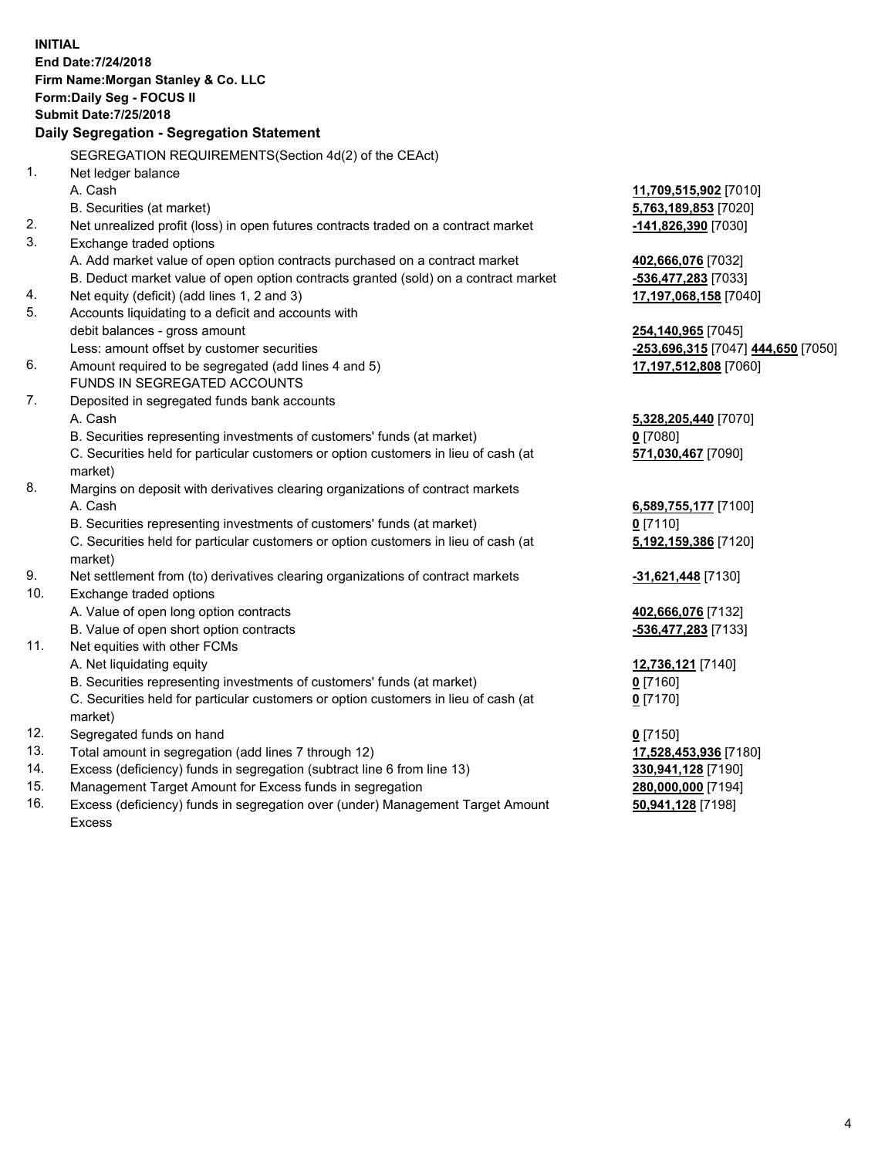**INITIAL End Date:7/24/2018 Firm Name:Morgan Stanley & Co. LLC Form:Daily Seg - FOCUS II Submit Date:7/25/2018 Daily Segregation - Segregation Statement** SEGREGATION REQUIREMENTS(Section 4d(2) of the CEAct) 1. Net ledger balance A. Cash **11,709,515,902** [7010] B. Securities (at market) **5,763,189,853** [7020] 2. Net unrealized profit (loss) in open futures contracts traded on a contract market **-141,826,390** [7030] 3. Exchange traded options A. Add market value of open option contracts purchased on a contract market **402,666,076** [7032] B. Deduct market value of open option contracts granted (sold) on a contract market **-536,477,283** [7033] 4. Net equity (deficit) (add lines 1, 2 and 3) **17,197,068,158** [7040] 5. Accounts liquidating to a deficit and accounts with debit balances - gross amount **254,140,965** [7045] Less: amount offset by customer securities **-253,696,315** [7047] **444,650** [7050] 6. Amount required to be segregated (add lines 4 and 5) **17,197,512,808** [7060] FUNDS IN SEGREGATED ACCOUNTS 7. Deposited in segregated funds bank accounts A. Cash **5,328,205,440** [7070] B. Securities representing investments of customers' funds (at market) **0** [7080] C. Securities held for particular customers or option customers in lieu of cash (at market) **571,030,467** [7090] 8. Margins on deposit with derivatives clearing organizations of contract markets A. Cash **6,589,755,177** [7100] B. Securities representing investments of customers' funds (at market) **0** [7110] C. Securities held for particular customers or option customers in lieu of cash (at market) **5,192,159,386** [7120] 9. Net settlement from (to) derivatives clearing organizations of contract markets **-31,621,448** [7130] 10. Exchange traded options A. Value of open long option contracts **402,666,076** [7132] B. Value of open short option contracts **-536,477,283** [7133] 11. Net equities with other FCMs A. Net liquidating equity **12,736,121** [7140] B. Securities representing investments of customers' funds (at market) **0** [7160] C. Securities held for particular customers or option customers in lieu of cash (at market) **0** [7170] 12. Segregated funds on hand **0** [7150] 13. Total amount in segregation (add lines 7 through 12) **17,528,453,936** [7180] 14. Excess (deficiency) funds in segregation (subtract line 6 from line 13) **330,941,128** [7190] 15. Management Target Amount for Excess funds in segregation **280,000,000** [7194] 16. Excess (deficiency) funds in segregation over (under) Management Target Amount **50,941,128** [7198]

Excess